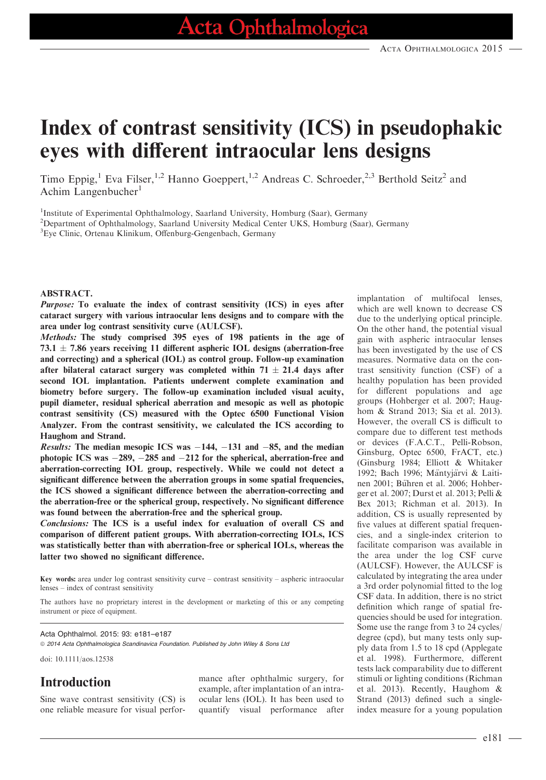# Index of contrast sensitivity (ICS) in pseudophakic eyes with different intraocular lens designs

Timo Eppig,<sup>1</sup> Eva Filser,<sup>1,2</sup> Hanno Goeppert,<sup>1,2</sup> Andreas C. Schroeder,<sup>2,3</sup> Berthold Seitz<sup>2</sup> and Achim Langenbucher<sup>1</sup>

<sup>1</sup>Institute of Experimental Ophthalmology, Saarland University, Homburg (Saar), Germany

<sup>2</sup>Department of Ophthalmology, Saarland University Medical Center UKS, Homburg (Saar), Germany

<sup>3</sup> Eye Clinic, Ortenau Klinikum, Offenburg-Gengenbach, Germany

#### ABSTRACT.

Purpose: To evaluate the index of contrast sensitivity (ICS) in eyes after cataract surgery with various intraocular lens designs and to compare with the area under log contrast sensitivity curve (AULCSF).

Methods: The study comprised 395 eyes of 198 patients in the age of  $73.1 \pm 7.86$  years receiving 11 different aspheric IOL designs (aberration-free and correcting) and a spherical (IOL) as control group. Follow-up examination after bilateral cataract surgery was completed within  $71 \pm 21.4$  days after second IOL implantation. Patients underwent complete examination and biometry before surgery. The follow-up examination included visual acuity, pupil diameter, residual spherical aberration and mesopic as well as photopic contrast sensitivity (CS) measured with the Optec 6500 Functional Vision Analyzer. From the contrast sensitivity, we calculated the ICS according to Haughom and Strand.

*Results:* The median mesopic ICS was  $-144$ ,  $-131$  and  $-85$ , and the median photopic ICS was  $-289$ ,  $-285$  and  $-212$  for the spherical, aberration-free and aberration-correcting IOL group, respectively. While we could not detect a significant difference between the aberration groups in some spatial frequencies, the ICS showed a significant difference between the aberration-correcting and the aberration-free or the spherical group, respectively. No significant difference was found between the aberration-free and the spherical group.

Conclusions: The ICS is a useful index for evaluation of overall CS and comparison of different patient groups. With aberration-correcting IOLs, ICS was statistically better than with aberration-free or spherical IOLs, whereas the latter two showed no significant difference.

Key words: area under log contrast sensitivity curve – contrast sensitivity – aspheric intraocular lenses – index of contrast sensitivity

The authors have no proprietary interest in the development or marketing of this or any competing instrument or piece of equipment.

#### Acta Ophthalmol. 2015: 93: e181–e187

ª 2014 Acta Ophthalmologica Scandinavica Foundation. Published by John Wiley & Sons Ltd

doi: 10.1111/aos.12538

## Introduction

Sine wave contrast sensitivity (CS) is one reliable measure for visual performance after ophthalmic surgery, for example, after implantation of an intraocular lens (IOL). It has been used to quantify visual performance after implantation of multifocal lenses, which are well known to decrease CS due to the underlying optical principle. On the other hand, the potential visual gain with aspheric intraocular lenses has been investigated by the use of CS measures. Normative data on the contrast sensitivity function (CSF) of a healthy population has been provided for different populations and age groups (Hohberger et al. 2007; Haughom & Strand 2013; Sia et al. 2013). However, the overall CS is difficult to compare due to different test methods or devices (F.A.C.T., Pelli-Robson, Ginsburg, Optec 6500, FrACT, etc.) (Ginsburg 1984; Elliott & Whitaker 1992; Bach 1996; Mäntyjärvi & Laitinen 2001; Bühren et al. 2006; Hohberger et al. 2007; Durst et al. 2013; Pelli & Bex 2013; Richman et al. 2013). In addition, CS is usually represented by five values at different spatial frequencies, and a single-index criterion to facilitate comparison was available in the area under the log CSF curve (AULCSF). However, the AULCSF is calculated by integrating the area under a 3rd order polynomial fitted to the log CSF data. In addition, there is no strict definition which range of spatial frequencies should be used for integration. Some use the range from 3 to 24 cycles/ degree (cpd), but many tests only supply data from 1.5 to 18 cpd (Applegate et al. 1998). Furthermore, different tests lack comparability due to different stimuli or lighting conditions (Richman et al. 2013). Recently, Haughom & Strand (2013) defined such a singleindex measure for a young population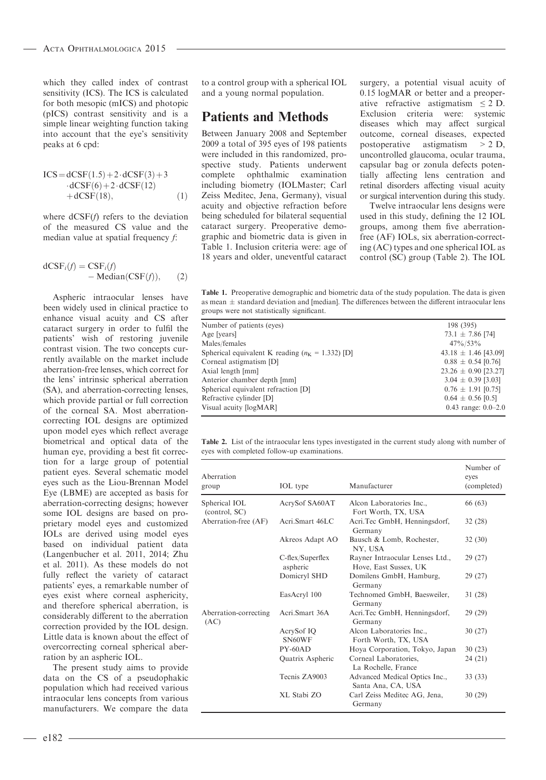which they called index of contrast sensitivity (ICS). The ICS is calculated for both mesopic (mICS) and photopic (pICS) contrast sensitivity and is a simple linear weighting function taking into account that the eye's sensitivity peaks at 6 cpd:

$$
ICS = dCSF(1.5) + 2 \cdot dCSF(3) + 3
$$
  
\n
$$
\cdot dCSF(6) + 2 \cdot dCSF(12)
$$
  
\n
$$
+ dCSF(18), \qquad (1)
$$

where  $dCSF(f)$  refers to the deviation of the measured CS value and the median value at spatial frequency f:

$$
dCSFi(f) = CSFi(f)
$$
  
- Median(CSF(f)), (2)

Aspheric intraocular lenses have been widely used in clinical practice to enhance visual acuity and CS after cataract surgery in order to fulfil the patients' wish of restoring juvenile contrast vision. The two concepts currently available on the market include aberration-free lenses, which correct for the lens' intrinsic spherical aberration (SA), and aberration-correcting lenses, which provide partial or full correction of the corneal SA. Most aberrationcorrecting IOL designs are optimized upon model eyes which reflect average biometrical and optical data of the human eye, providing a best fit correction for a large group of potential patient eyes. Several schematic model eyes such as the Liou-Brennan Model Eye (LBME) are accepted as basis for aberration-correcting designs; however some IOL designs are based on proprietary model eyes and customized IOLs are derived using model eyes based on individual patient data (Langenbucher et al. 2011, 2014; Zhu et al. 2011). As these models do not fully reflect the variety of cataract patients' eyes, a remarkable number of eyes exist where corneal asphericity, and therefore spherical aberration, is considerably different to the aberration correction provided by the IOL design. Little data is known about the effect of overcorrecting corneal spherical aberration by an aspheric IOL.

The present study aims to provide data on the CS of a pseudophakic population which had received various intraocular lens concepts from various manufacturers. We compare the data

to a control group with a spherical IOL and a young normal population.

#### Patients and Methods

Between January 2008 and September 2009 a total of 395 eyes of 198 patients were included in this randomized, prospective study. Patients underwent complete ophthalmic examination including biometry (IOLMaster; Carl Zeiss Meditec, Jena, Germany), visual acuity and objective refraction before being scheduled for bilateral sequential cataract surgery. Preoperative demographic and biometric data is given in Table 1. Inclusion criteria were: age of 18 years and older, uneventful cataract surgery, a potential visual acuity of 0.15 logMAR or better and a preoperative refractive astigmatism  $\leq 2$  D. Exclusion criteria were: systemic diseases which may affect surgical outcome, corneal diseases, expected postoperative astigmatism > 2 D, uncontrolled glaucoma, ocular trauma, capsular bag or zonula defects potentially affecting lens centration and retinal disorders affecting visual acuity or surgical intervention during this study.

Twelve intraocular lens designs were used in this study, defining the 12 IOL groups, among them five aberrationfree (AF) IOLs, six aberration-correcting (AC) types and one spherical IOL as control (SC) group (Table 2). The IOL

Table 1. Preoperative demographic and biometric data of the study population. The data is given as mean  $\pm$  standard deviation and [median]. The differences between the different intraocular lens groups were not statistically significant.

| Number of patients (eyes)                           | 198 (395)                |
|-----------------------------------------------------|--------------------------|
| Age [years]                                         | $73.1 \pm 7.86$ [74]     |
| Males/females                                       | $47\%/53\%$              |
| Spherical equivalent K reading ( $nK = 1.332$ ) [D] | $43.18 \pm 1.46$ [43.09] |
| Corneal astigmatism [D]                             | $0.88 \pm 0.54$ [0.76]   |
| Axial length [mm]                                   | $23.26 \pm 0.90$ [23.27] |
| Anterior chamber depth [mm]                         | $3.04 \pm 0.39$ [3.03]   |
| Spherical equivalent refraction [D]                 | $0.76 \pm 1.91$ [0.75]   |
| Refractive cylinder [D]                             | $0.64 \pm 0.56$ [0.5]    |
| Visual acuity [logMAR]                              | 0.43 range: $0.0-2.0$    |
|                                                     |                          |

Table 2. List of the intraocular lens types investigated in the current study along with number of eyes with completed follow-up examinations.

| Aberration<br>group            | IOL type                        | Manufacturer                                             | Number of<br>eyes<br>(completed) |
|--------------------------------|---------------------------------|----------------------------------------------------------|----------------------------------|
| Spherical IOL<br>(control, SC) | AcrySof SA60AT                  | Alcon Laboratories Inc.,<br>Fort Worth, TX, USA          | 66 (63)                          |
| Aberration-free (AF)           | Acri.Smart 46LC                 | 32 (28)                                                  |                                  |
|                                | Akreos Adapt AO                 | Bausch & Lomb, Rochester,<br>NY, USA                     | 32(30)                           |
|                                | $C$ -flex/Superflex<br>aspheric | Rayner Intraocular Lenses Ltd.,<br>Hove, East Sussex, UK | 29 (27)                          |
|                                | Domicryl SHD                    | Domilens GmbH, Hamburg,<br>Germany                       | 29 (27)                          |
|                                | EasAcryl 100                    | Technomed GmbH, Baesweiler,<br>Germany                   | 31(28)                           |
| Aberration-correcting<br>(AC)  | Acri.Smart 36A                  | Acri.Tec GmbH, Henningsdorf,<br>Germany                  | 29 (29)                          |
|                                | AcrySof IQ<br>SN60WF            | Alcon Laboratories Inc.,<br>Forth Worth, TX, USA         | 30(27)                           |
|                                | $PY-60AD$                       | Hoya Corporation, Tokyo, Japan                           | 30(23)                           |
|                                | Quatrix Aspheric                | Corneal Laboratories,<br>La Rochelle, France             | 24 (21)                          |
|                                | Tecnis ZA9003                   | Advanced Medical Optics Inc.,<br>Santa Ana, CA, USA      | 33(33)                           |
|                                | XL Stabi ZO                     | Carl Zeiss Meditec AG, Jena,<br>Germany                  | 30(29)                           |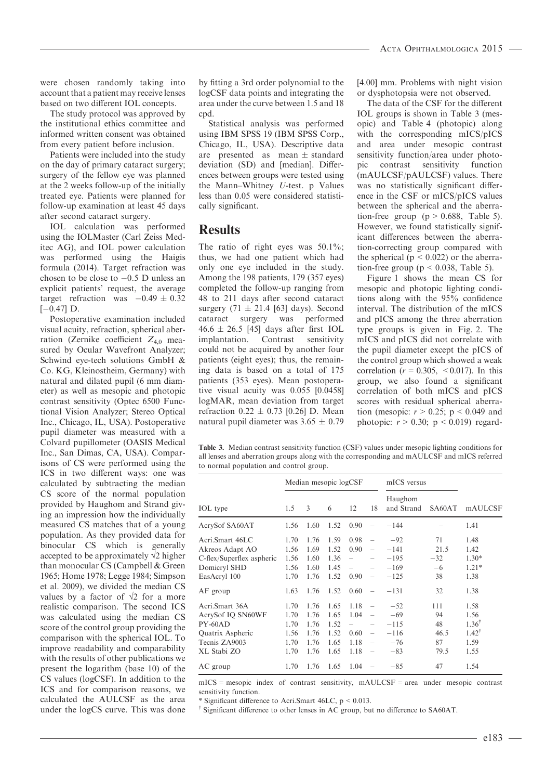were chosen randomly taking into account that a patient may receive lenses based on two different IOL concepts.

The study protocol was approved by the institutional ethics committee and informed written consent was obtained from every patient before inclusion.

Patients were included into the study on the day of primary cataract surgery; surgery of the fellow eye was planned at the 2 weeks follow-up of the initially treated eye. Patients were planned for follow-up examination at least 45 days after second cataract surgery.

IOL calculation was performed using the IOLMaster (Carl Zeiss Meditec AG), and IOL power calculation was performed using the Haigis formula (2014). Target refraction was chosen to be close to  $-0.5$  D unless an explicit patients' request, the average target refraction was  $-0.49 \pm 0.32$  $[-0.47]$  D.

Postoperative examination included visual acuity, refraction, spherical aberration (Zernike coefficient  $Z_{4,0}$  measured by Ocular Wavefront Analyzer; Schwind eye-tech solutions GmbH & Co. KG, Kleinostheim, Germany) with natural and dilated pupil (6 mm diameter) as well as mesopic and photopic contrast sensitivity (Optec 6500 Functional Vision Analyzer; Stereo Optical Inc., Chicago, IL, USA). Postoperative pupil diameter was measured with a Colvard pupillometer (OASIS Medical Inc., San Dimas, CA, USA). Comparisons of CS were performed using the ICS in two different ways: one was calculated by subtracting the median CS score of the normal population provided by Haughom and Strand giving an impression how the individually measured CS matches that of a young population. As they provided data for binocular CS which is generally accepted to be approximately √2 higher than monocular CS (Campbell & Green 1965; Home 1978; Legge 1984; Simpson et al. 2009), we divided the median CS values by a factor of  $\sqrt{2}$  for a more realistic comparison. The second ICS was calculated using the median CS score of the control group providing the comparison with the spherical IOL. To improve readability and comparability with the results of other publications we present the logarithm (base 10) of the CS values (logCSF). In addition to the ICS and for comparison reasons, we calculated the AULCSF as the area under the logCS curve. This was done

by fitting a 3rd order polynomial to the logCSF data points and integrating the area under the curve between 1.5 and 18 cpd.

Statistical analysis was performed using IBM SPSS 19 (IBM SPSS Corp., Chicago, IL, USA). Descriptive data are presented as mean  $\pm$  standard deviation (SD) and [median]. Differences between groups were tested using the Mann–Whitney U-test. p Values less than 0.05 were considered statistically significant.

#### Results

The ratio of right eyes was  $50.1\%$ ; thus, we had one patient which had only one eye included in the study. Among the 198 patients, 179 (357 eyes) completed the follow-up ranging from 48 to 211 days after second cataract surgery  $(71 \pm 21.4 \text{ [63] days})$ . Second cataract surgery was performed surgery was performed  $46.6 \pm 26.5$  [45] days after first IOL implantation. Contrast sensitivity implantation. could not be acquired by another four patients (eight eyes); thus, the remaining data is based on a total of 175 patients (353 eyes). Mean postoperative visual acuity was 0.055 [0.0458] logMAR, mean deviation from target refraction  $0.22 \pm 0.73$  [0.26] D. Mean natural pupil diameter was  $3.65 \pm 0.79$  [4.00] mm. Problems with night vision or dysphotopsia were not observed.

The data of the CSF for the different IOL groups is shown in Table 3 (mesopic) and Table 4 (photopic) along with the corresponding mICS/pICS and area under mesopic contrast sensitivity function/area under photopic contrast sensitivity function (mAULCSF/pAULCSF) values. There was no statistically significant difference in the CSF or mICS/pICS values between the spherical and the aberration-free group ( $p > 0.688$ , Table 5). However, we found statistically significant differences between the aberration-correcting group compared with the spherical ( $p < 0.022$ ) or the aberration-free group ( $p < 0.038$ , Table 5).

Figure 1 shows the mean CS for mesopic and photopic lighting conditions along with the 95% confidence interval. The distribution of the mICS and pICS among the three aberration type groups is given in Fig. 2. The mICS and pICS did not correlate with the pupil diameter except the pICS of the control group which showed a weak correlation ( $r = 0.305$ , <0.017). In this group, we also found a significant correlation of both mICS and pICS scores with residual spherical aberration (mesopic:  $r > 0.25$ ;  $p < 0.049$  and photopic:  $r > 0.30$ ;  $p < 0.019$ ) regard-

Table 3. Median contrast sensitivity function (CSF) values under mesopic lighting conditions for all lenses and aberration groups along with the corresponding and mAULCSF and mICS referred to normal population and control group.

|                                                                                       |                                      | Median mesopic logCSF                |                                      |                                                      |                                                                                                              | mICS versus                                 |                               |                                                              |  |
|---------------------------------------------------------------------------------------|--------------------------------------|--------------------------------------|--------------------------------------|------------------------------------------------------|--------------------------------------------------------------------------------------------------------------|---------------------------------------------|-------------------------------|--------------------------------------------------------------|--|
| IOL type                                                                              | 1.5                                  | 3                                    | 6                                    | 12                                                   | 18                                                                                                           | Haughom<br>and Strand                       | SA60AT                        | mAULCSF                                                      |  |
| AcrySof SA60AT                                                                        | 1.56                                 | 1.60                                 | 1.52                                 | 0.90                                                 |                                                                                                              | $-144$                                      |                               | 1.41                                                         |  |
| Acri.Smart 46LC<br>Akreos Adapt AO                                                    | 1.70<br>1.56                         | 1.76<br>1.69                         | 1.59<br>1.52                         | 0.98<br>0.90                                         | $\overline{\phantom{0}}$                                                                                     | $-92$<br>$-141$                             | 71<br>21.5                    | 1.48<br>1.42                                                 |  |
| C-flex/Superflex aspheric<br>Domicryl SHD                                             | 1.56<br>1.56                         | 1.60<br>1.60                         | 1.36<br>1.45                         | $\overline{\phantom{0}}$<br>$\overline{\phantom{0}}$ |                                                                                                              | $-195$<br>$-169$                            | $-32$<br>$-6$                 | $1.30*$<br>$1.21*$                                           |  |
| EasAcryl 100                                                                          | 1.70                                 | 1.76                                 | 1.52                                 | 0.90                                                 | $\overline{\phantom{0}}$                                                                                     | $-125$                                      | 38                            | 1.38                                                         |  |
| AF group                                                                              | 1.63                                 | 1.76                                 | 1.52                                 | 0.60                                                 | $\overline{\phantom{0}}$                                                                                     | $-131$                                      | 32                            | 1.38                                                         |  |
| Acri.Smart 36A<br>AcrySof IQ SN60WF<br>$PY-60AD$<br>Quatrix Aspheric<br>Tecnis ZA9003 | 1.70<br>1.70<br>1.70<br>1.56<br>1.70 | 1.76<br>1.76<br>1.76<br>1.76<br>1.76 | 1.65<br>1.65<br>1.52<br>1.52<br>1.65 | 1.18<br>1.04<br>0.60<br>1.18                         | $\overline{\phantom{0}}$<br>$\overline{\phantom{0}}$<br>$\overline{\phantom{m}}$<br>$\overline{\phantom{0}}$ | $-52$<br>$-69$<br>$-115$<br>$-116$<br>$-76$ | 111<br>94<br>48<br>46.5<br>87 | 1.58<br>1.56<br>$1.36^{\dagger}$<br>$1.42^{\dagger}$<br>1.59 |  |
| XL Stabi ZO<br>AC group                                                               | 1.70<br>1.70                         | 1.76<br>1.76                         | 1.65<br>1.65                         | 1.18<br>1.04                                         | $\overline{\phantom{0}}$                                                                                     | $-83$<br>$-85$                              | 79.5<br>47                    | 1.55<br>1.54                                                 |  |

mICS = mesopic index of contrast sensitivity, mAULCSF = area under mesopic contrast sensitivity function.

\* Significant difference to Acri.Smart 46LC, p < 0.013.

† Significant difference to other lenses in AC group, but no difference to SA60AT.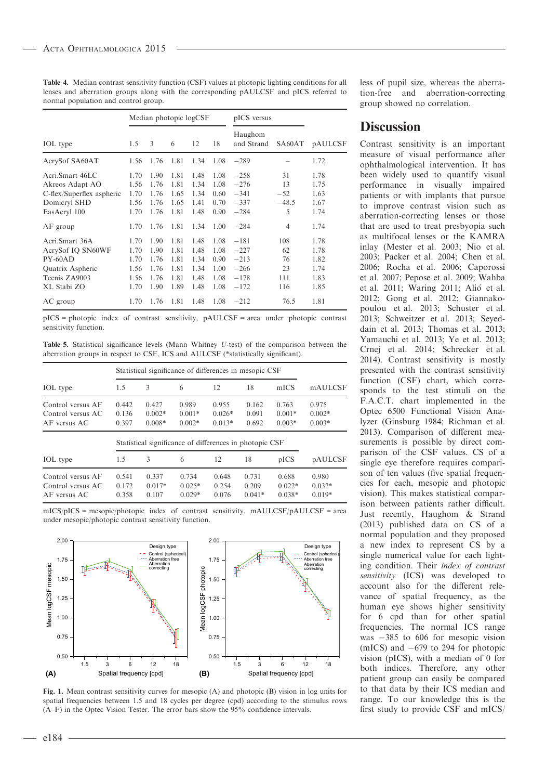Table 4. Median contrast sensitivity function (CSF) values at photopic lighting conditions for all lenses and aberration groups along with the corresponding pAULCSF and pICS referred to normal population and control group.

|                                                                                                                  |                                                      | Median photopic logCSF                               |                                                      |                                                      |                                                      | pICS versus                                                        |                                             |                                                      |  |
|------------------------------------------------------------------------------------------------------------------|------------------------------------------------------|------------------------------------------------------|------------------------------------------------------|------------------------------------------------------|------------------------------------------------------|--------------------------------------------------------------------|---------------------------------------------|------------------------------------------------------|--|
| IOL type                                                                                                         | 1.5                                                  | 3                                                    | 6                                                    | 12                                                   | 18                                                   | Haughom<br>and Strand                                              | SA60AT                                      | pAULCSF                                              |  |
| AcrySof SA60AT                                                                                                   | 1.56                                                 | 1.76                                                 | 1.81                                                 | 1.34                                                 | 1.08                                                 | $-289$                                                             |                                             | 1.72                                                 |  |
| Acri.Smart 46LC<br>Akreos Adapt AO<br>C-flex/Superflex aspheric<br>Domicryl SHD<br>EasAcryl 100<br>AF group      | 1.70<br>1.56<br>1.70<br>1.56<br>1.70<br>1.70         | 1.90<br>1.76<br>1.76<br>1.76<br>1.76<br>1.76         | 1.81<br>1.81<br>1.65<br>1.65<br>1.81<br>1.81         | 1.48<br>1.34<br>1.34<br>1.41<br>1.48<br>1.34         | 1.08<br>1.08<br>0.60<br>0.70<br>0.90<br>1.00         | $-258$<br>$-276$<br>$-341$<br>$-337$<br>$-284$<br>$-284$           | 31<br>13<br>$-52$<br>$-48.5$<br>5<br>4      | 1.78<br>1.75<br>1.63<br>1.67<br>1.74<br>1.74         |  |
| Acri.Smart 36A<br>AcrySof IQ SN60WF<br>$PY-60AD$<br>Quatrix Aspheric<br>Tecnis ZA9003<br>XL Stabi ZO<br>AC group | 1.70<br>1.70<br>1.70<br>1.56<br>1.56<br>1.70<br>1.70 | 1.90<br>1.90<br>1.76<br>1.76<br>1.76<br>1.90<br>1.76 | 1.81<br>1.81<br>1.81<br>1.81<br>1.81<br>1.89<br>1.81 | 1.48<br>1.48<br>1.34<br>1.34<br>1.48<br>1.48<br>1.48 | 1.08<br>1.08<br>0.90<br>1.00<br>1.08<br>1.08<br>1.08 | $-181$<br>$-227$<br>$-213$<br>$-266$<br>$-178$<br>$-172$<br>$-212$ | 108<br>62<br>76<br>23<br>111<br>116<br>76.5 | 1.78<br>1.78<br>1.82<br>1.74<br>1.83<br>1.85<br>1.81 |  |

pICS = photopic index of contrast sensitivity, pAULCSF = area under photopic contrast sensitivity function.

Table 5. Statistical significance levels (Mann–Whitney U-test) of the comparison between the aberration groups in respect to CSF, ICS and AULCSF (\*statistically significant).

|                   | Statistical significance of differences in mesopic CSF  |          |          |          |       |          |          |  |  |  |
|-------------------|---------------------------------------------------------|----------|----------|----------|-------|----------|----------|--|--|--|
| <b>IOL</b> type   | 1.5                                                     | 3        | 6        | 12       | 18    | mICS     | mAULCSF  |  |  |  |
| Control versus AF | 0.442                                                   | 0.427    | 0.989    | 0.955    | 0.162 | 0.763    | 0.975    |  |  |  |
| Control versus AC | 0.136                                                   | $0.002*$ | $0.001*$ | $0.026*$ | 0.091 | $0.001*$ | $0.002*$ |  |  |  |
| AF versus AC      | 0.397                                                   | $0.008*$ | $0.002*$ | $0.013*$ | 0.692 | $0.003*$ | $0.003*$ |  |  |  |
|                   | Statistical significance of differences in photopic CSF |          |          |          |       |          |          |  |  |  |
| <b>IOL</b> type   | 1.5                                                     | 3        | 6        | 12       | 18    | pICS     | pAULCSF  |  |  |  |
| Control versus AF | 0.541                                                   | 0.337    | 0.734    | 0.648    | 0.731 | 0.688    | 0.980    |  |  |  |
| Control versus AC | 0.172                                                   | $0.017*$ | $0.025*$ | 0.254    | 0.209 | $0.022*$ | $0.032*$ |  |  |  |

mICS/pICS = mesopic/photopic index of contrast sensitivity, mAULCSF/pAULCSF = area under mesopic/photopic contrast sensitivity function.

AF versus AC 0.358 0.107 0.029\* 0.076 0.041\* 0.038\* 0.019\*



Fig. 1. Mean contrast sensitivity curves for mesopic (A) and photopic (B) vision in log units for spatial frequencies between 1.5 and 18 cycles per degree (cpd) according to the stimulus rows (A–F) in the Optec Vision Tester. The error bars show the 95% confidence intervals.

less of pupil size, whereas the aberration-free and aberration-correcting group showed no correlation.

#### **Discussion**

Contrast sensitivity is an important measure of visual performance after ophthalmological intervention. It has been widely used to quantify visual performance in visually impaired patients or with implants that pursue to improve contrast vision such as aberration-correcting lenses or those that are used to treat presbyopia such as multifocal lenses or the KAMRA inlay (Mester et al. 2003; Nio et al. 2003; Packer et al. 2004; Chen et al. 2006; Rocha et al. 2006; Caporossi et al. 2007; Pepose et al. 2009; Wahba et al. 2011; Waring 2011; Alió et al. 2012; Gong et al. 2012; Giannakopoulou et al. 2013; Schuster et al. 2013; Schweitzer et al. 2013; Seyeddain et al. 2013; Thomas et al. 2013; Yamauchi et al. 2013; Ye et al. 2013; Crnej et al. 2014; Schrecker et al. 2014). Contrast sensitivity is mostly presented with the contrast sensitivity function (CSF) chart, which corresponds to the test stimuli on the F.A.C.T. chart implemented in the Optec 6500 Functional Vision Analyzer (Ginsburg 1984; Richman et al. 2013). Comparison of different measurements is possible by direct comparison of the CSF values. CS of a single eye therefore requires comparison of ten values (five spatial frequencies for each, mesopic and photopic vision). This makes statistical comparison between patients rather difficult. Just recently, Haughom & Strand (2013) published data on CS of a normal population and they proposed a new index to represent CS by a single numerical value for each lighting condition. Their index of contrast sensitivity (ICS) was developed to account also for the different relevance of spatial frequency, as the human eye shows higher sensitivity for 6 cpd than for other spatial frequencies. The normal ICS range was  $-385$  to 606 for mesopic vision (mICS) and  $-679$  to 294 for photopic vision (pICS), with a median of 0 for both indices. Therefore, any other patient group can easily be compared to that data by their ICS median and range. To our knowledge this is the first study to provide CSF and mICS/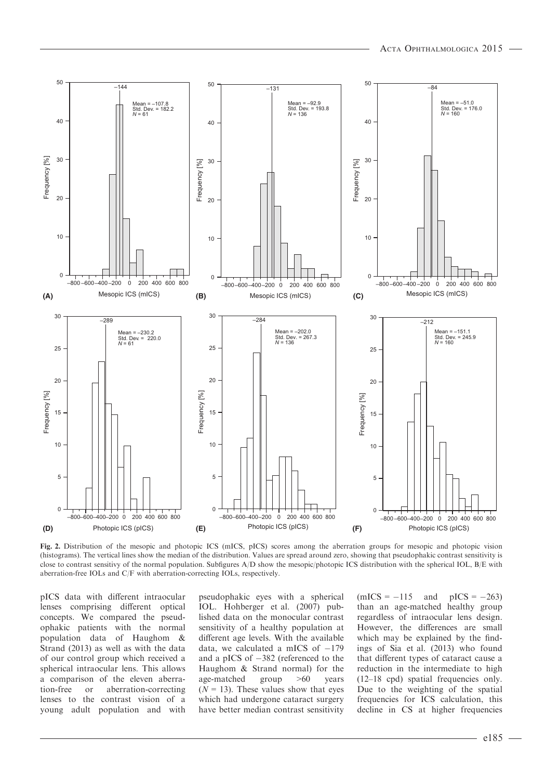

Fig. 2. Distribution of the mesopic and photopic ICS (mICS, pICS) scores among the aberration groups for mesopic and photopic vision (histograms). The vertical lines show the median of the distribution. Values are spread around zero, showing that pseudophakic contrast sensitivity is close to contrast sensitivy of the normal population. Subfigures A/D show the mesopic/photopic ICS distribution with the spherical IOL, B/E with aberration-free IOLs and C/F with aberration-correcting IOLs, respectively.

pICS data with different intraocular lenses comprising different optical concepts. We compared the pseudophakic patients with the normal population data of Haughom & Strand (2013) as well as with the data of our control group which received a spherical intraocular lens. This allows a comparison of the eleven aberration-free or aberration-correcting lenses to the contrast vision of a young adult population and with

pseudophakic eyes with a spherical IOL. Hohberger et al. (2007) published data on the monocular contrast sensitivity of a healthy population at different age levels. With the available data, we calculated a mICS of  $-179$ and a pICS of  $-382$  (referenced to the Haughom & Strand normal) for the age-matched group >60 years  $(N = 13)$ . These values show that eyes which had undergone cataract surgery have better median contrast sensitivity

 $(mICS = -115$  and  $pICS = -263)$ than an age-matched healthy group regardless of intraocular lens design. However, the differences are small which may be explained by the findings of Sia et al. (2013) who found that different types of cataract cause a reduction in the intermediate to high (12–18 cpd) spatial frequencies only. Due to the weighting of the spatial frequencies for ICS calculation, this decline in CS at higher frequencies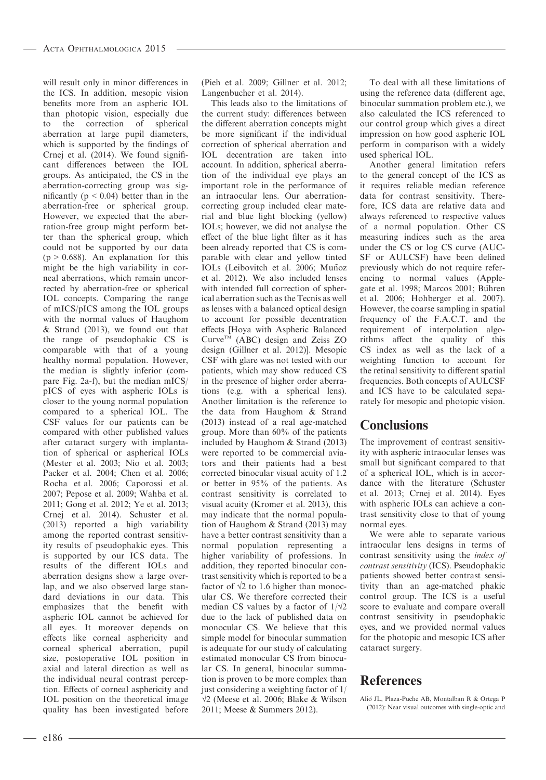will result only in minor differences in the ICS. In addition, mesopic vision benefits more from an aspheric IOL than photopic vision, especially due to the correction of spherical aberration at large pupil diameters, which is supported by the findings of Crnej et al. (2014). We found significant differences between the IOL groups. As anticipated, the CS in the aberration-correcting group was significantly ( $p < 0.04$ ) better than in the aberration-free or spherical group. However, we expected that the aberration-free group might perform better than the spherical group, which could not be supported by our data  $(p > 0.688)$ . An explanation for this might be the high variability in corneal aberrations, which remain uncorrected by aberration-free or spherical IOL concepts. Comparing the range of mICS/pICS among the IOL groups with the normal values of Haughom & Strand (2013), we found out that the range of pseudophakic CS is comparable with that of a young healthy normal population. However, the median is slightly inferior (compare Fig. 2a-f), but the median mICS/ pICS of eyes with aspheric IOLs is closer to the young normal population compared to a spherical IOL. The CSF values for our patients can be compared with other published values after cataract surgery with implantation of spherical or aspherical IOLs (Mester et al. 2003; Nio et al. 2003; Packer et al. 2004; Chen et al. 2006; Rocha et al. 2006; Caporossi et al. 2007; Pepose et al. 2009; Wahba et al. 2011; Gong et al. 2012; Ye et al. 2013; Crnej et al. 2014). Schuster et al. (2013) reported a high variability among the reported contrast sensitivity results of pseudophakic eyes. This is supported by our ICS data. The results of the different IOLs and aberration designs show a large overlap, and we also observed large standard deviations in our data. This emphasizes that the benefit with aspheric IOL cannot be achieved for all eyes. It moreover depends on effects like corneal asphericity and corneal spherical aberration, pupil size, postoperative IOL position in axial and lateral direction as well as the individual neural contrast perception. Effects of corneal asphericity and IOL position on the theoretical image quality has been investigated before

(Pieh et al. 2009; Gillner et al. 2012; Langenbucher et al. 2014).

This leads also to the limitations of the current study: differences between the different aberration concepts might be more significant if the individual correction of spherical aberration and IOL decentration are taken into account. In addition, spherical aberration of the individual eye plays an important role in the performance of an intraocular lens. Our aberrationcorrecting group included clear material and blue light blocking (yellow) IOLs; however, we did not analyse the effect of the blue light filter as it has been already reported that CS is comparable with clear and yellow tinted IOLs (Leibovitch et al. 2006; Muñoz et al. 2012). We also included lenses with intended full correction of spherical aberration such as the Tecnis as well as lenses with a balanced optical design to account for possible decentration effects [Hoya with Aspheric Balanced  $Curve^{TM}$  (ABC) design and Zeiss ZO design (Gillner et al. 2012)]. Mesopic CSF with glare was not tested with our patients, which may show reduced CS in the presence of higher order aberrations (e.g. with a spherical lens). Another limitation is the reference to the data from Haughom & Strand (2013) instead of a real age-matched group. More than 60% of the patients included by Haughom & Strand (2013) were reported to be commercial aviators and their patients had a best corrected binocular visual acuity of 1.2 or better in 95% of the patients. As contrast sensitivity is correlated to visual acuity (Kromer et al. 2013), this may indicate that the normal population of Haughom & Strand (2013) may have a better contrast sensitivity than a normal population representing a higher variability of professions. In addition, they reported binocular contrast sensitivity which is reported to be a factor of  $\sqrt{2}$  to 1.6 higher than monocular CS. We therefore corrected their median CS values by a factor of  $1/\sqrt{2}$ due to the lack of published data on monocular CS. We believe that this simple model for binocular summation is adequate for our study of calculating estimated monocular CS from binocular CS. In general, binocular summation is proven to be more complex than just considering a weighting factor of 1/ √2 (Meese et al. 2006; Blake & Wilson 2011; Meese & Summers 2012).

To deal with all these limitations of using the reference data (different age, binocular summation problem etc.), we also calculated the ICS referenced to our control group which gives a direct impression on how good aspheric IOL perform in comparison with a widely used spherical IOL.

Another general limitation refers to the general concept of the ICS as it requires reliable median reference data for contrast sensitivity. Therefore, ICS data are relative data and always referenced to respective values of a normal population. Other CS measuring indices such as the area under the CS or log CS curve (AUC-SF or AULCSF) have been defined previously which do not require referencing to normal values (Applegate et al. 1998; Marcos 2001; Bühren et al. 2006; Hohberger et al. 2007). However, the coarse sampling in spatial frequency of the F.A.C.T. and the requirement of interpolation algorithms affect the quality of this CS index as well as the lack of a weighting function to account for the retinal sensitivity to different spatial frequencies. Both concepts of AULCSF and ICS have to be calculated separately for mesopic and photopic vision.

## **Conclusions**

The improvement of contrast sensitivity with aspheric intraocular lenses was small but significant compared to that of a spherical IOL, which is in accordance with the literature (Schuster et al. 2013; Crnej et al. 2014). Eyes with aspheric IOLs can achieve a contrast sensitivity close to that of young normal eyes.

We were able to separate various intraocular lens designs in terms of contrast sensitivity using the index of contrast sensitivity (ICS). Pseudophakic patients showed better contrast sensitivity than an age-matched phakic control group. The ICS is a useful score to evaluate and compare overall contrast sensitivity in pseudophakic eyes, and we provided normal values for the photopic and mesopic ICS after cataract surgery.

## References

Alió JL, Plaza-Puche AB, Montalban R & Ortega P (2012): Near visual outcomes with single-optic and